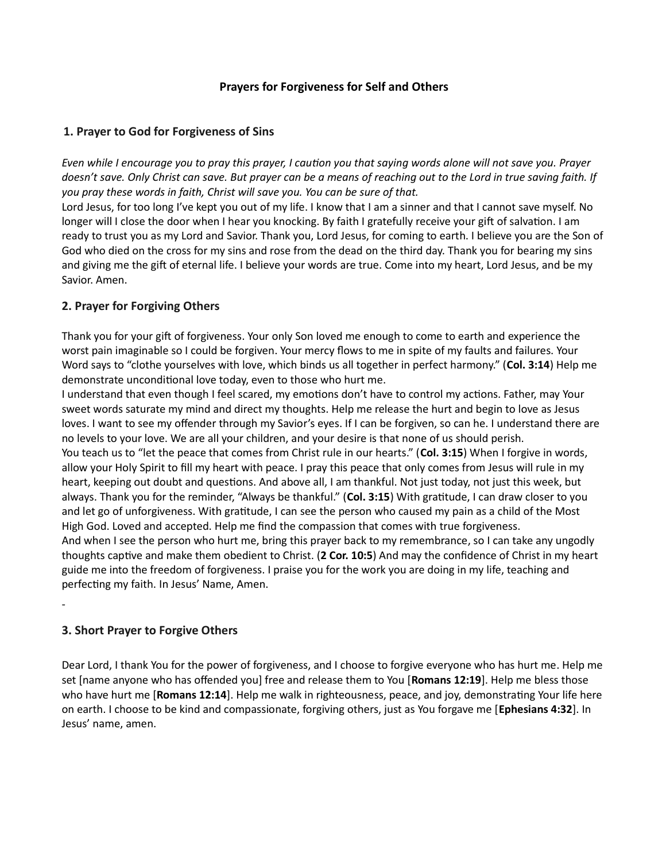# Prayers for Forgiveness for Self and Others

## 1. Prayer to God for Forgiveness of Sins

Even while I encourage you to pray this prayer, I caution you that saying words alone will not save you. Prayer doesn't save. Only Christ can save. But prayer can be a means of reaching out to the Lord in true saving faith. If you pray these words in faith, Christ will save you. You can be sure of that.

Lord Jesus, for too long I've kept you out of my life. I know that I am a sinner and that I cannot save myself. No longer will I close the door when I hear you knocking. By faith I gratefully receive your gift of salvation. I am ready to trust you as my Lord and Savior. Thank you, Lord Jesus, for coming to earth. I believe you are the Son of God who died on the cross for my sins and rose from the dead on the third day. Thank you for bearing my sins and giving me the gift of eternal life. I believe your words are true. Come into my heart, Lord Jesus, and be my Savior. Amen.

## 2. Prayer for Forgiving Others

Thank you for your gift of forgiveness. Your only Son loved me enough to come to earth and experience the worst pain imaginable so I could be forgiven. Your mercy flows to me in spite of my faults and failures. Your Word says to "clothe yourselves with love, which binds us all together in perfect harmony." (Col. 3:14) Help me demonstrate unconditional love today, even to those who hurt me.

I understand that even though I feel scared, my emotions don't have to control my actions. Father, may Your sweet words saturate my mind and direct my thoughts. Help me release the hurt and begin to love as Jesus loves. I want to see my offender through my Savior's eyes. If I can be forgiven, so can he. I understand there are no levels to your love. We are all your children, and your desire is that none of us should perish.

You teach us to "let the peace that comes from Christ rule in our hearts." (Col. 3:15) When I forgive in words, allow your Holy Spirit to fill my heart with peace. I pray this peace that only comes from Jesus will rule in my heart, keeping out doubt and questions. And above all, I am thankful. Not just today, not just this week, but always. Thank you for the reminder, "Always be thankful." (Col. 3:15) With gratitude, I can draw closer to you and let go of unforgiveness. With gratitude, I can see the person who caused my pain as a child of the Most High God. Loved and accepted. Help me find the compassion that comes with true forgiveness. And when I see the person who hurt me, bring this prayer back to my remembrance, so I can take any ungodly thoughts captive and make them obedient to Christ. (2 Cor. 10:5) And may the confidence of Christ in my heart guide me into the freedom of forgiveness. I praise you for the work you are doing in my life, teaching and perfecting my faith. In Jesus' Name, Amen.

# 3. Short Prayer to Forgive Others

-

Dear Lord, I thank You for the power of forgiveness, and I choose to forgive everyone who has hurt me. Help me set [name anyone who has offended you] free and release them to You [Romans 12:19]. Help me bless those who have hurt me [Romans 12:14]. Help me walk in righteousness, peace, and joy, demonstrating Your life here on earth. I choose to be kind and compassionate, forgiving others, just as You forgave me [Ephesians 4:32]. In Jesus' name, amen.